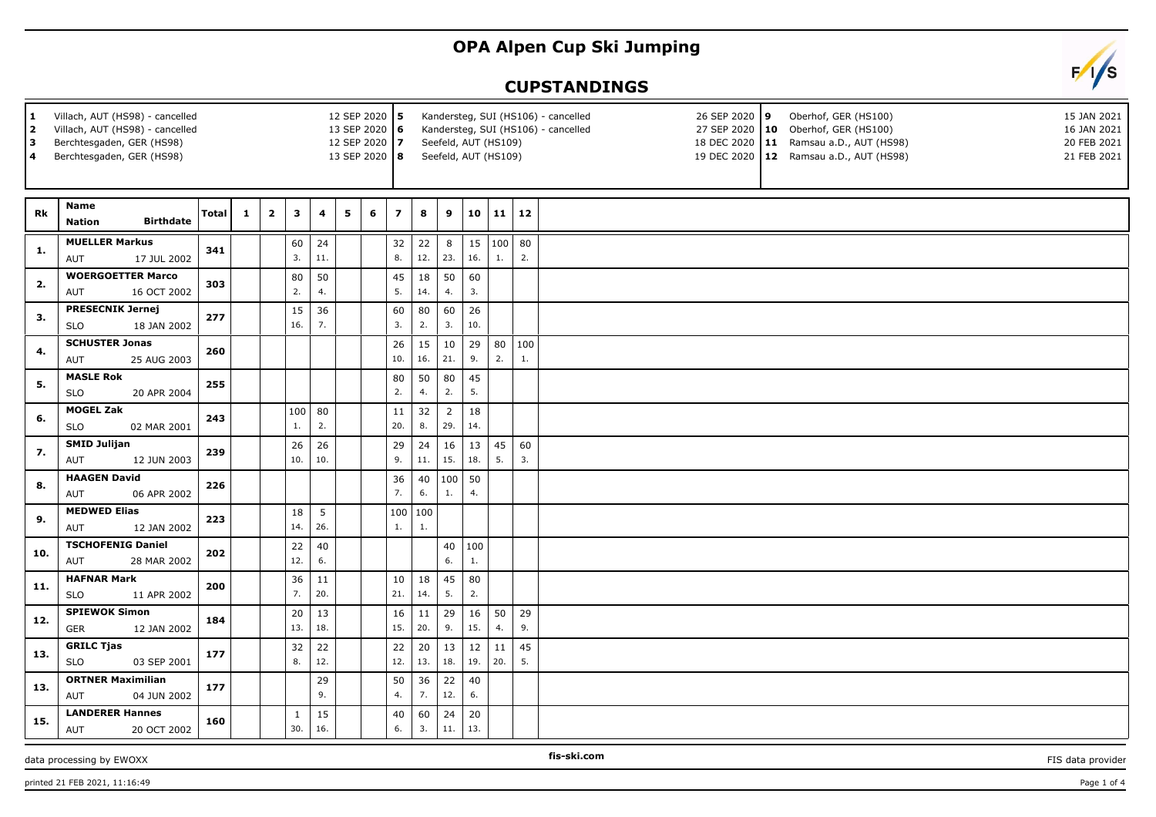## **OPA Alpen Cup Ski Jumping**

## **CUPSTANDINGS**

| Villach, AUT (HS98) - cancelled<br>$\mathbf{1}$<br>$\overline{2}$<br>Villach, AUT (HS98) - cancelled<br>Berchtesgaden, GER (HS98)<br>3<br>Berchtesgaden, GER (HS98)<br>4 |                                                       |              |              | 12 SEP 2020 5<br>13 SEP 2020 6<br>12 SEP 2020 7<br>13 SEP 2020 8 |                     |           | Kandersteg, SUI (HS106) - cancelled<br>26 SEP 2020 9<br>Oberhof, GER (HS100)<br>Kandersteg, SUI (HS106) - cancelled<br>27 SEP 2020   10 Oberhof, GER (HS100)<br>Seefeld, AUT (HS109)<br>18 DEC 2020   11 Ramsau a.D., AUT (HS98)<br>Seefeld, AUT (HS109)<br>19 DEC 2020   12 Ramsau a.D., AUT (HS98) |   |                         |                     |           |              |                          |           | 15 JAN 2021<br>16 JAN 2021<br>20 FEB 2021<br>21 FEB 2021 |  |  |  |
|--------------------------------------------------------------------------------------------------------------------------------------------------------------------------|-------------------------------------------------------|--------------|--------------|------------------------------------------------------------------|---------------------|-----------|------------------------------------------------------------------------------------------------------------------------------------------------------------------------------------------------------------------------------------------------------------------------------------------------------|---|-------------------------|---------------------|-----------|--------------|--------------------------|-----------|----------------------------------------------------------|--|--|--|
| Rk                                                                                                                                                                       | <b>Name</b><br><b>Birthdate</b><br><b>Nation</b>      | <b>Total</b> | $\mathbf{1}$ | $\mathbf{2}$                                                     | 3                   | 4         | 5                                                                                                                                                                                                                                                                                                    | 6 | $\overline{\mathbf{z}}$ | 8                   | 9         |              | 10 11 12                 |           |                                                          |  |  |  |
| 1.                                                                                                                                                                       | <b>MUELLER Markus</b><br>AUT<br>17 JUL 2002           | 341          |              |                                                                  | 60<br>3.            | 24<br>11. |                                                                                                                                                                                                                                                                                                      |   | 32<br>8.                | 22<br>12.           | 8<br>23.  | 16.          | $15 \mid 100 \mid$<br>1. | 80<br>2.  |                                                          |  |  |  |
| 2.                                                                                                                                                                       | <b>WOERGOETTER Marco</b><br>AUT<br>16 OCT 2002        | 303          |              |                                                                  | 80<br>2.            | 50<br>4.  |                                                                                                                                                                                                                                                                                                      |   | 45<br>5.                | 18<br>14.           | 50<br>4.  | 60<br>3.     |                          |           |                                                          |  |  |  |
| 3.                                                                                                                                                                       | <b>PRESECNIK Jernej</b><br><b>SLO</b><br>18 JAN 2002  | 277          |              |                                                                  | 15<br>16.           | 36<br>7.  |                                                                                                                                                                                                                                                                                                      |   | 60<br>3.                | 80<br>2.            | 60<br>3.  | 26<br>10.    |                          |           |                                                          |  |  |  |
| 4.                                                                                                                                                                       | <b>SCHUSTER Jonas</b><br>25 AUG 2003<br>AUT           | 260          |              |                                                                  |                     |           |                                                                                                                                                                                                                                                                                                      |   | 26<br>10.               | 15<br>16.           | 10<br>21. | 29<br>9.     | 80<br>2.                 | 100<br>1. |                                                          |  |  |  |
| 5.                                                                                                                                                                       | <b>MASLE Rok</b><br><b>SLO</b><br>20 APR 2004         | 255          |              |                                                                  |                     |           |                                                                                                                                                                                                                                                                                                      |   | 80<br>2.                | 50<br>4.            | 80<br>2.  | 45<br>5.     |                          |           |                                                          |  |  |  |
| 6.                                                                                                                                                                       | <b>MOGEL Zak</b><br><b>SLO</b><br>02 MAR 2001         | 243          |              |                                                                  | 100<br>1.           | 80<br>2.  |                                                                                                                                                                                                                                                                                                      |   | 11<br>20.               | 32<br>8.            | 2<br>29.  | 18<br>14.    |                          |           |                                                          |  |  |  |
| 7.                                                                                                                                                                       | <b>SMID Julijan</b><br>12 JUN 2003<br>AUT             | 239          |              |                                                                  | 26<br>10.           | 26<br>10. |                                                                                                                                                                                                                                                                                                      |   | 29<br>9.                | 24<br>11.           | 16<br>15. | 13<br>18.    | 45<br>5.                 | 60<br>3.  |                                                          |  |  |  |
| 8.                                                                                                                                                                       | <b>HAAGEN David</b><br>AUT<br>06 APR 2002             | 226          |              |                                                                  |                     |           |                                                                                                                                                                                                                                                                                                      |   | 36<br>7.                | 40<br>6.            | 100<br>1. | 50<br>4.     |                          |           |                                                          |  |  |  |
| 9.                                                                                                                                                                       | <b>MEDWED Elias</b><br>12 JAN 2002<br>AUT             | 223          |              |                                                                  | 18<br>14.           | 5<br>26.  |                                                                                                                                                                                                                                                                                                      |   | 100<br>1.               | $ 100\rangle$<br>1. |           |              |                          |           |                                                          |  |  |  |
| 10.                                                                                                                                                                      | <b>TSCHOFENIG Daniel</b><br>28 MAR 2002<br>AUT        | 202          |              |                                                                  | 22<br>12.           | 40<br>6.  |                                                                                                                                                                                                                                                                                                      |   |                         |                     | 6.        | 40 100<br>1. |                          |           |                                                          |  |  |  |
| 11.                                                                                                                                                                      | <b>HAFNAR Mark</b><br><b>SLO</b><br>11 APR 2002       | 200          |              |                                                                  | 36<br>7.            | 11<br>20. |                                                                                                                                                                                                                                                                                                      |   | 10<br>21.               | 18<br>14.           | 45<br>5.  | 80<br>2.     |                          |           |                                                          |  |  |  |
| 12.                                                                                                                                                                      | <b>SPIEWOK Simon</b><br><b>GER</b><br>12 JAN 2002     | 184          |              |                                                                  | 20<br>13.           | 13<br>18. |                                                                                                                                                                                                                                                                                                      |   | 16<br>15.               | 11<br>20.           | 29<br>9.  | 16<br>15.    | 50<br>4.                 | 29<br>9.  |                                                          |  |  |  |
| 13.                                                                                                                                                                      | <b>GRILC Tjas</b><br><b>SLO</b><br>03 SEP 2001        | 177          |              |                                                                  | 32<br>8.            | 22<br>12. |                                                                                                                                                                                                                                                                                                      |   | 22<br>12.               | 20<br>13.           | 13<br>18. | 12<br>19.    | $11\,$<br>20.            | 45<br>5.  |                                                          |  |  |  |
| 13.                                                                                                                                                                      | <b>ORTNER Maximilian</b><br>04 JUN 2002<br><b>AUT</b> | 177          |              |                                                                  |                     | 29<br>9.  |                                                                                                                                                                                                                                                                                                      |   | 50<br>4.                | 36<br>7.            | 22<br>12. | 40<br>6.     |                          |           |                                                          |  |  |  |
| 15.                                                                                                                                                                      | <b>LANDERER Hannes</b><br>AUT<br>20 OCT 2002          | 160          |              |                                                                  | $\mathbf{1}$<br>30. | 15<br>16. |                                                                                                                                                                                                                                                                                                      |   | 40<br>6.                | 60<br>3.            | 24<br>11. | 20<br>13.    |                          |           |                                                          |  |  |  |

data processing by EWOXX **FIS-SHOOT CONSUMING THE-SKI.COM FIS-SKI.COM FIS** data provider

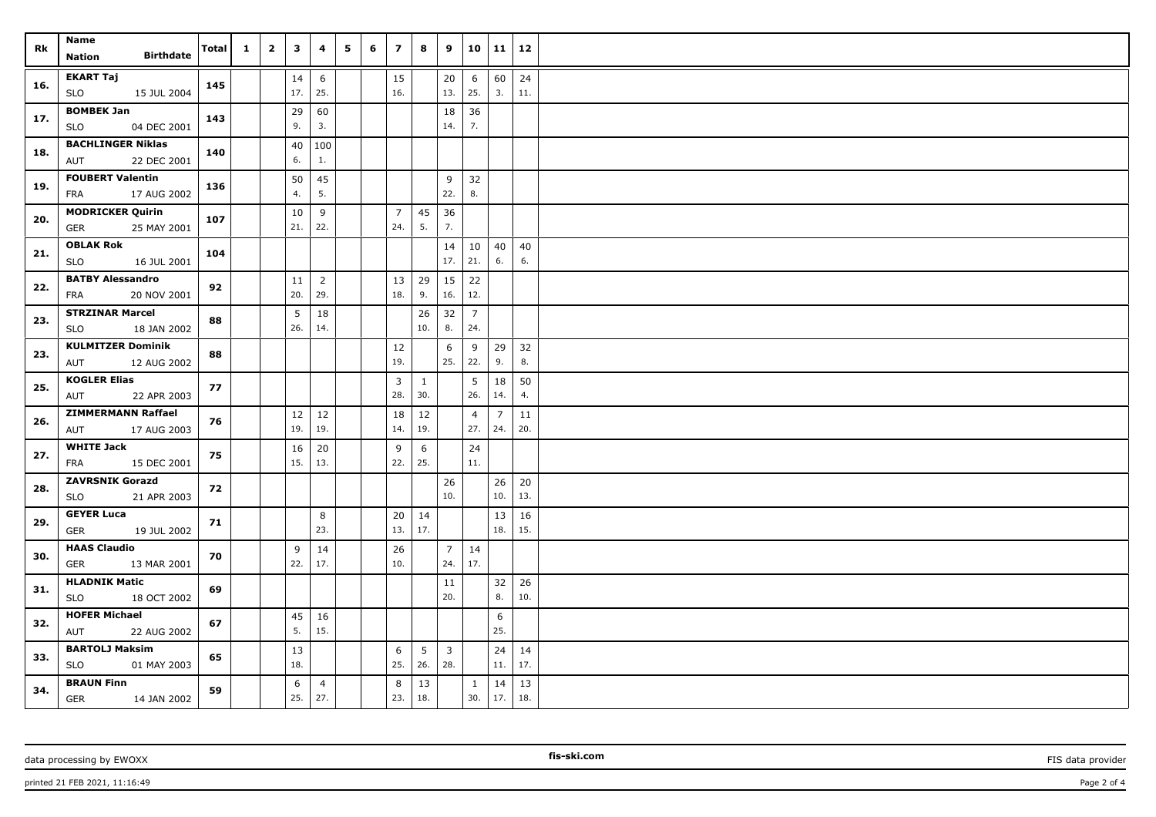| Rk  | Name<br><b>Birthdate</b><br>Nation                    | Total | $\mathbf{1}$ | $\overline{\mathbf{2}}$ | $\mathbf{3}$ | 4                     | 5 | 6 | $\overline{z}$        | 8                   | 9                              | 10                     | 11                    | 12        |  |
|-----|-------------------------------------------------------|-------|--------------|-------------------------|--------------|-----------------------|---|---|-----------------------|---------------------|--------------------------------|------------------------|-----------------------|-----------|--|
| 16. | <b>EKART Taj</b><br><b>SLO</b><br>15 JUL 2004         | 145   |              |                         | 14<br>17.    | 6<br>25.              |   |   | 15<br>16.             |                     | 20<br>13.                      | 6<br>25.               | 60<br>3.              | 24<br>11. |  |
| 17. | <b>BOMBEK Jan</b><br>04 DEC 2001<br><b>SLO</b>        | 143   |              |                         | 29<br>9.     | 60<br>3.              |   |   |                       |                     | 18<br>14.                      | 36<br>7.               |                       |           |  |
| 18. | <b>BACHLINGER Niklas</b><br><b>AUT</b><br>22 DEC 2001 | 140   |              |                         | 40<br>6.     | 100<br>1.             |   |   |                       |                     |                                |                        |                       |           |  |
| 19. | <b>FOUBERT Valentin</b><br>FRA<br>17 AUG 2002         | 136   |              |                         | 50<br>4.     | 45<br>5.              |   |   |                       |                     | 9<br>22.                       | 32<br>8.               |                       |           |  |
| 20. | <b>MODRICKER Quirin</b><br><b>GER</b><br>25 MAY 2001  | 107   |              |                         | 10<br>21.    | 9<br>22.              |   |   | $\overline{7}$<br>24. | 45<br>5.            | 36<br>7.                       |                        |                       |           |  |
| 21. | <b>OBLAK Rok</b><br><b>SLO</b><br>16 JUL 2001         | 104   |              |                         |              |                       |   |   |                       |                     | 14<br>17.                      | 10<br>21.              | 40<br>6.              | 40<br>6.  |  |
| 22. | <b>BATBY Alessandro</b><br>FRA<br>20 NOV 2001         | 92    |              |                         | 11<br>20.    | $\overline{2}$<br>29. |   |   | 13<br>18.             | 29<br>9.            | 15<br>16.                      | 22<br>12.              |                       |           |  |
| 23. | <b>STRZINAR Marcel</b><br><b>SLO</b><br>18 JAN 2002   | 88    |              |                         | 5<br>26.     | 18<br>14.             |   |   |                       | 26<br>10.           | 32<br>8.                       | $\overline{7}$<br>24.  |                       |           |  |
| 23. | <b>KULMITZER Dominik</b><br>AUT<br>12 AUG 2002        | 88    |              |                         |              |                       |   |   | 12<br>19.             |                     | 6<br>25.                       | 9<br>22.               | 29<br>9.              | 32<br>8.  |  |
| 25. | <b>KOGLER Elias</b><br>AUT<br>22 APR 2003             | 77    |              |                         |              |                       |   |   | $\overline{3}$<br>28. | $\mathbf{1}$<br>30. |                                | $5\phantom{.0}$<br>26. | 18<br>14.             | 50<br>4.  |  |
| 26. | <b>ZIMMERMANN Raffael</b><br>AUT<br>17 AUG 2003       | 76    |              |                         | 12<br>19.    | 12<br>19.             |   |   | 18<br>14.             | 12<br>19.           |                                | $\overline{4}$<br>27.  | $\overline{7}$<br>24. | 11<br>20. |  |
| 27. | <b>WHITE Jack</b><br><b>FRA</b><br>15 DEC 2001        | 75    |              |                         | 16<br>15.    | 20<br>13.             |   |   | 9<br>22.              | 6<br>25.            |                                | 24<br>11.              |                       |           |  |
| 28. | <b>ZAVRSNIK Gorazd</b><br><b>SLO</b><br>21 APR 2003   | 72    |              |                         |              |                       |   |   |                       |                     | 26<br>10.                      |                        | 26<br>10.             | 20<br>13. |  |
| 29. | <b>GEYER Luca</b><br>GER<br>19 JUL 2002               | 71    |              |                         |              | 8<br>23.              |   |   | 20<br>13.             | 14<br>17.           |                                |                        | 13<br>18.             | 16<br>15. |  |
| 30. | <b>HAAS Claudio</b><br><b>GER</b><br>13 MAR 2001      | 70    |              |                         | 9<br>22.     | 14<br>17.             |   |   | 26<br>10.             |                     | $\overline{7}$<br>24.          | 14<br>17.              |                       |           |  |
| 31. | <b>HLADNIK Matic</b><br><b>SLO</b><br>18 OCT 2002     | 69    |              |                         |              |                       |   |   |                       |                     | 11<br>20.                      |                        | 32<br>8.              | 26<br>10. |  |
| 32. | <b>HOFER Michael</b><br>22 AUG 2002<br>AUT            | 67    |              |                         | 45<br>5.     | 16<br>15.             |   |   |                       |                     |                                |                        | 6<br>25.              |           |  |
| 33. | <b>BARTOLJ Maksim</b><br><b>SLO</b><br>01 MAY 2003    | 65    |              |                         | 13<br>18.    |                       |   |   | 6<br>25.              | 5<br>26.            | $\overline{\mathbf{3}}$<br>28. |                        | 24<br>11.             | 14<br>17. |  |
| 34. | <b>BRAUN Finn</b><br><b>GER</b><br>14 JAN 2002        | 59    |              |                         | 6<br>25.     | $\overline{4}$<br>27. |   |   | 8<br>23.              | 13<br>18.           |                                | $\mathbf{1}$<br>30.    | 14<br> 17.            | 13<br>18. |  |

data processing by EWOXX **FIS data provider FIS data provider FIS data provider FIS data provider FIS data provider**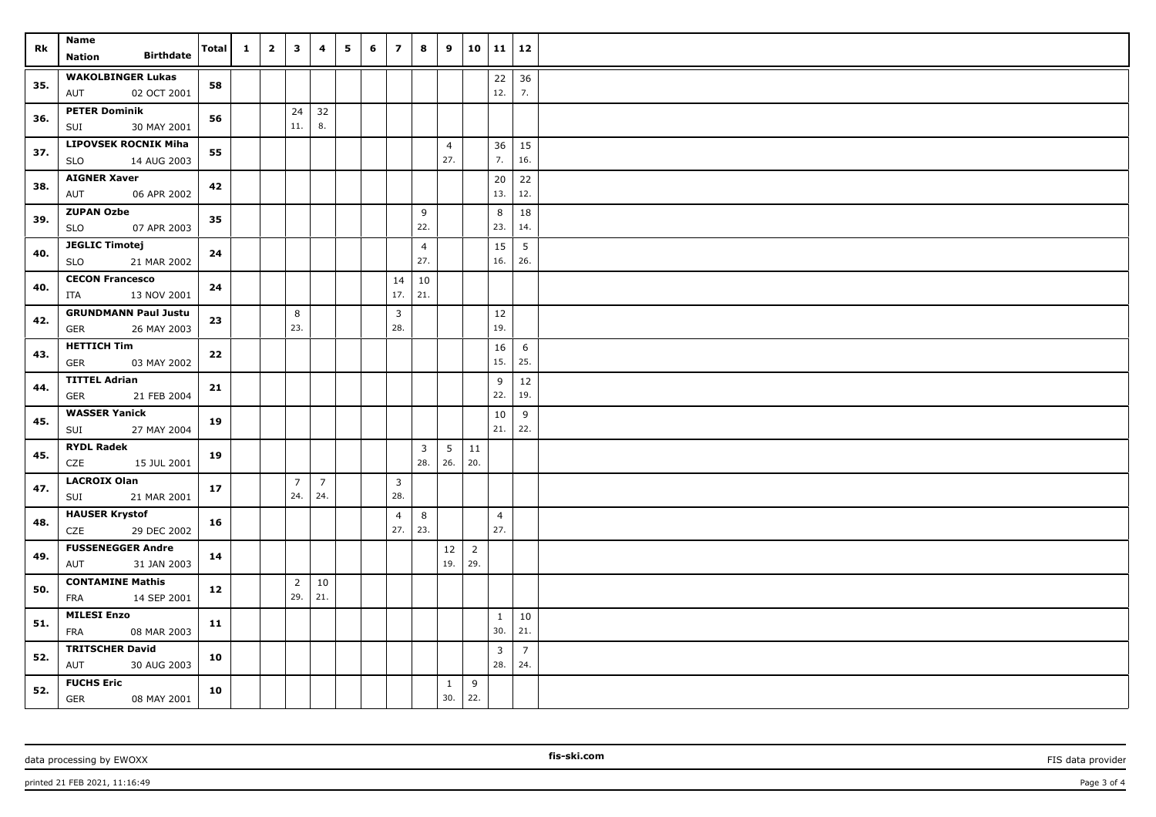| Rk  | Name                                                     | Total | $\mathbf{1}$ | $\overline{2}$ | $\overline{\mathbf{3}}$ | 4                     | 5 | 6 | $\overline{7}$        | 8                       | 9                      | 10 <sup>1</sup> | $11 \mid 12$   |                       |  |
|-----|----------------------------------------------------------|-------|--------------|----------------|-------------------------|-----------------------|---|---|-----------------------|-------------------------|------------------------|-----------------|----------------|-----------------------|--|
|     | <b>Birthdate</b><br>Nation                               |       |              |                |                         |                       |   |   |                       |                         |                        |                 |                |                       |  |
| 35. | <b>WAKOLBINGER Lukas</b>                                 | 58    |              |                |                         |                       |   |   |                       |                         |                        |                 | 22             | 36                    |  |
|     | AUT<br>02 OCT 2001                                       |       |              |                |                         |                       |   |   |                       |                         |                        |                 | 12.            | 7.                    |  |
| 36. | <b>PETER Dominik</b>                                     | 56    |              |                | 24                      | 32                    |   |   |                       |                         |                        |                 |                |                       |  |
|     | 30 MAY 2001<br>SUI                                       |       |              |                | 11.                     | 8.                    |   |   |                       |                         |                        |                 |                |                       |  |
| 37. | <b>LIPOVSEK ROCNIK Miha</b><br><b>SLO</b><br>14 AUG 2003 | 55    |              |                |                         |                       |   |   |                       |                         | $\overline{4}$<br>27.  |                 | 36<br>7.       | 15<br>16.             |  |
|     | <b>AIGNER Xaver</b>                                      | 42    |              |                |                         |                       |   |   |                       |                         |                        |                 | 20             | 22                    |  |
| 38. | AUT<br>06 APR 2002                                       |       |              |                |                         |                       |   |   |                       |                         |                        |                 | 13.            | 12.                   |  |
| 39. | <b>ZUPAN Ozbe</b>                                        | 35    |              |                |                         |                       |   |   |                       | 9                       |                        |                 | 8              | 18                    |  |
|     | 07 APR 2003<br><b>SLO</b>                                |       |              |                |                         |                       |   |   |                       | 22.                     |                        |                 | 23.            | 14.                   |  |
| 40. | <b>JEGLIC Timotej</b><br>21 MAR 2002<br><b>SLO</b>       | 24    |              |                |                         |                       |   |   |                       | $\overline{4}$<br>27.   |                        |                 | 15<br>16.      | 5<br>26.              |  |
|     | <b>CECON Francesco</b>                                   |       |              |                |                         |                       |   |   | 14                    | 10                      |                        |                 |                |                       |  |
| 40. | ITA<br>13 NOV 2001                                       | 24    |              |                |                         |                       |   |   | 17.                   | 21.                     |                        |                 |                |                       |  |
|     | <b>GRUNDMANN Paul Justu</b>                              |       |              |                | 8                       |                       |   |   | $\mathbf{3}$          |                         |                        |                 | 12             |                       |  |
| 42. | GER<br>26 MAY 2003                                       | 23    |              |                | 23.                     |                       |   |   | 28.                   |                         |                        |                 | 19.            |                       |  |
|     | <b>HETTICH Tim</b>                                       |       |              |                |                         |                       |   |   |                       |                         |                        |                 | 16             | 6                     |  |
| 43. | <b>GER</b><br>03 MAY 2002                                | 22    |              |                |                         |                       |   |   |                       |                         |                        |                 | 15.            | 25.                   |  |
| 44. | <b>TITTEL Adrian</b>                                     | 21    |              |                |                         |                       |   |   |                       |                         |                        |                 | 9              | 12                    |  |
|     | GER<br>21 FEB 2004                                       |       |              |                |                         |                       |   |   |                       |                         |                        |                 | 22.            | 19.                   |  |
| 45. | <b>WASSER Yanick</b>                                     | 19    |              |                |                         |                       |   |   |                       |                         |                        |                 | 10             | 9                     |  |
|     | 27 MAY 2004<br>SUI                                       |       |              |                |                         |                       |   |   |                       |                         |                        |                 | 21.            | 22.                   |  |
| 45. | <b>RYDL Radek</b>                                        | 19    |              |                |                         |                       |   |   |                       | $\overline{\mathbf{3}}$ | $5\overline{)}$<br>26. | 11<br>20.       |                |                       |  |
|     | CZE<br>15 JUL 2001                                       |       |              |                |                         |                       |   |   |                       | 28.                     |                        |                 |                |                       |  |
| 47. | <b>LACROIX Olan</b><br>21 MAR 2001<br>SUI                | 17    |              |                | $\overline{7}$<br>24.   | $\overline{7}$<br>24. |   |   | $\overline{3}$<br>28. |                         |                        |                 |                |                       |  |
|     | <b>HAUSER Krystof</b>                                    |       |              |                |                         |                       |   |   | $\overline{4}$        | 8                       |                        |                 | $\overline{4}$ |                       |  |
| 48. | CZE<br>29 DEC 2002                                       | 16    |              |                |                         |                       |   |   | 27.                   | 23.                     |                        |                 | 27.            |                       |  |
| 49. | <b>FUSSENEGGER Andre</b>                                 | 14    |              |                |                         |                       |   |   |                       |                         | $12\,$                 | $\overline{2}$  |                |                       |  |
|     | AUT<br>31 JAN 2003                                       |       |              |                |                         |                       |   |   |                       |                         | 19.                    | 29.             |                |                       |  |
| 50. | <b>CONTAMINE Mathis</b>                                  | 12    |              |                | $\overline{2}$          | 10                    |   |   |                       |                         |                        |                 |                |                       |  |
|     | 14 SEP 2001<br>FRA                                       |       |              |                | 29.                     | 21.                   |   |   |                       |                         |                        |                 |                |                       |  |
| 51. | <b>MILESI Enzo</b>                                       | 11    |              |                |                         |                       |   |   |                       |                         |                        |                 | $\mathbf{1}$   | 10                    |  |
|     | FRA<br>08 MAR 2003                                       |       |              |                |                         |                       |   |   |                       |                         |                        |                 | 30.            | 21.                   |  |
| 52. | <b>TRITSCHER David</b><br>AUT<br>30 AUG 2003             | 10    |              |                |                         |                       |   |   |                       |                         |                        |                 | 3<br>28.       | $\overline{7}$<br>24. |  |
|     | <b>FUCHS Eric</b>                                        |       |              |                |                         |                       |   |   |                       |                         | $\mathbf{1}$           | 9               |                |                       |  |
| 52. | GER<br>08 MAY 2001                                       | 10    |              |                |                         |                       |   |   |                       |                         | 30.                    | 22.             |                |                       |  |

printed 21 FEB 2021, 11:16:49 Page 3 of 4